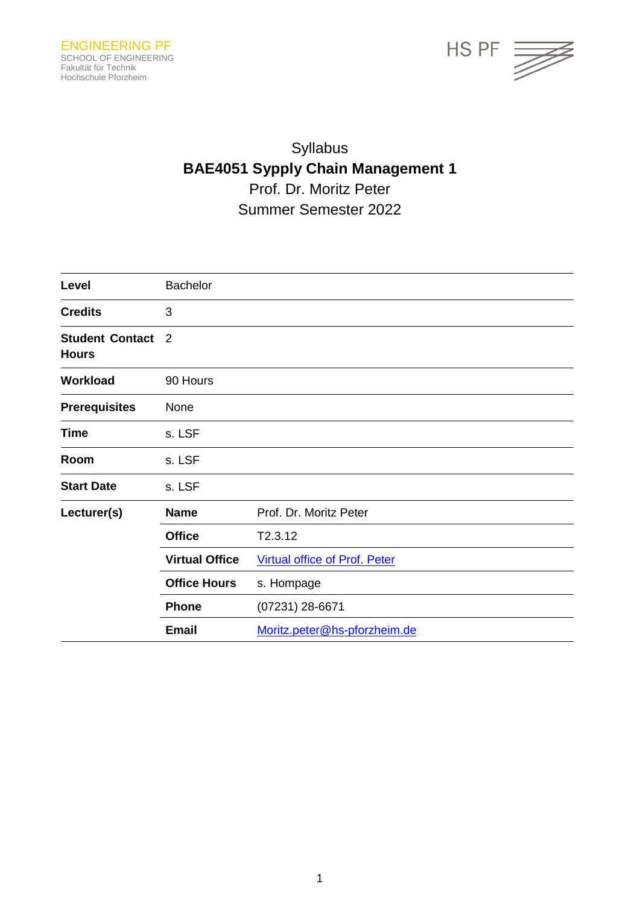

# Syllabus **BAE4051 Sypply Chain Management 1** Prof. Dr. Moritz Peter Summer Semester 2022

| Level                                  | <b>Bachelor</b>       |                                      |
|----------------------------------------|-----------------------|--------------------------------------|
| <b>Credits</b>                         | 3                     |                                      |
| <b>Student Contact</b><br><b>Hours</b> | $\overline{2}$        |                                      |
| Workload                               | 90 Hours              |                                      |
| <b>Prerequisites</b>                   | None                  |                                      |
| <b>Time</b>                            | s. LSF                |                                      |
| Room                                   | s. LSF                |                                      |
| <b>Start Date</b>                      | s. LSF                |                                      |
| Lecturer(s)                            | <b>Name</b>           | Prof. Dr. Moritz Peter               |
|                                        | <b>Office</b>         | T2.3.12                              |
|                                        | <b>Virtual Office</b> | <b>Virtual office of Prof. Peter</b> |
|                                        | <b>Office Hours</b>   | s. Hompage                           |
|                                        | <b>Phone</b>          | (07231) 28-6671                      |
|                                        | <b>Email</b>          | Moritz.peter@hs-pforzheim.de         |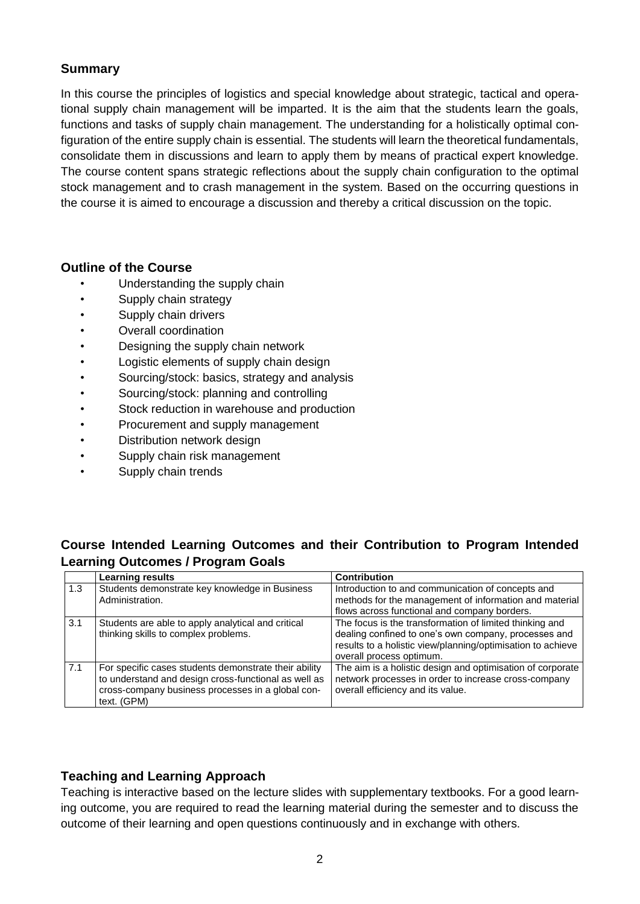## **Summary**

In this course the principles of logistics and special knowledge about strategic, tactical and operational supply chain management will be imparted. It is the aim that the students learn the goals, functions and tasks of supply chain management. The understanding for a holistically optimal configuration of the entire supply chain is essential. The students will learn the theoretical fundamentals, consolidate them in discussions and learn to apply them by means of practical expert knowledge. The course content spans strategic reflections about the supply chain configuration to the optimal stock management and to crash management in the system. Based on the occurring questions in the course it is aimed to encourage a discussion and thereby a critical discussion on the topic.

#### **Outline of the Course**

- Understanding the supply chain
- Supply chain strategy
- Supply chain drivers
- Overall coordination
- Designing the supply chain network
- Logistic elements of supply chain design
- Sourcing/stock: basics, strategy and analysis
- Sourcing/stock: planning and controlling
- Stock reduction in warehouse and production
- Procurement and supply management
- Distribution network design
- Supply chain risk management
- Supply chain trends

## **Course Intended Learning Outcomes and their Contribution to Program Intended Learning Outcomes / Program Goals**

|     | <b>Learning results</b>                                                                                                                                                           | <b>Contribution</b>                                                                                                                                                                                        |
|-----|-----------------------------------------------------------------------------------------------------------------------------------------------------------------------------------|------------------------------------------------------------------------------------------------------------------------------------------------------------------------------------------------------------|
| 1.3 | Students demonstrate key knowledge in Business<br>Administration.                                                                                                                 | Introduction to and communication of concepts and<br>methods for the management of information and material<br>flows across functional and company borders.                                                |
| 3.1 | Students are able to apply analytical and critical<br>thinking skills to complex problems.                                                                                        | The focus is the transformation of limited thinking and<br>dealing confined to one's own company, processes and<br>results to a holistic view/planning/optimisation to achieve<br>overall process optimum. |
| 7.1 | For specific cases students demonstrate their ability<br>to understand and design cross-functional as well as<br>cross-company business processes in a global con-<br>text. (GPM) | The aim is a holistic design and optimisation of corporate<br>network processes in order to increase cross-company<br>overall efficiency and its value.                                                    |

#### **Teaching and Learning Approach**

Teaching is interactive based on the lecture slides with supplementary textbooks. For a good learning outcome, you are required to read the learning material during the semester and to discuss the outcome of their learning and open questions continuously and in exchange with others.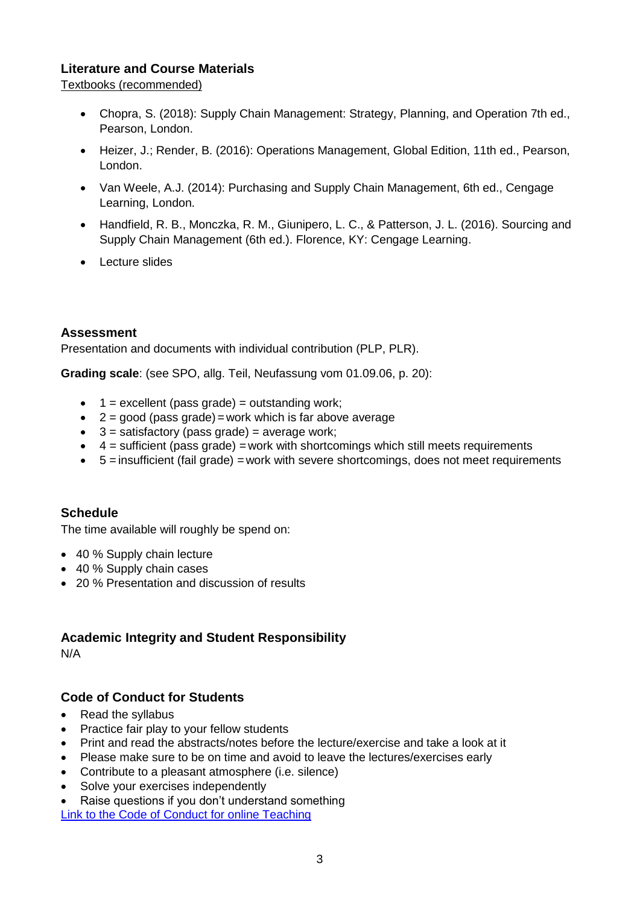## **Literature and Course Materials**

Textbooks (recommended)

- Chopra, S. (2018): Supply Chain Management: Strategy, Planning, and Operation 7th ed., Pearson, London.
- Heizer, J.; Render, B. (2016): Operations Management, Global Edition, 11th ed., Pearson, London.
- Van Weele, A.J. (2014): Purchasing and Supply Chain Management, 6th ed., Cengage Learning, London.
- Handfield, R. B., Monczka, R. M., Giunipero, L. C., & Patterson, J. L. (2016). Sourcing and Supply Chain Management (6th ed.). Florence, KY: Cengage Learning.
- Lecture slides

## **Assessment**

Presentation and documents with individual contribution (PLP, PLR).

**Grading scale**: (see SPO, allg. Teil, Neufassung vom 01.09.06, p. 20):

- $\bullet$  1 = excellent (pass grade) = outstanding work;
- $\bullet$  2 = good (pass grade) = work which is far above average
- $\bullet$  3 = satisfactory (pass grade) = average work;
- $\bullet$  4 = sufficient (pass grade) = work with shortcomings which still meets requirements
- $\bullet$  5 = insufficient (fail grade) = work with severe shortcomings, does not meet requirements

#### **Schedule**

The time available will roughly be spend on:

- 40 % Supply chain lecture
- 40 % Supply chain cases
- 20 % Presentation and discussion of results

## **Academic Integrity and Student Responsibility**

N/A

## **Code of Conduct for Students**

- Read the syllabus
- Practice fair play to your fellow students
- Print and read the abstracts/notes before the lecture/exercise and take a look at it
- Please make sure to be on time and avoid to leave the lectures/exercises early
- Contribute to a pleasant atmosphere (i.e. silence)
- Solve your exercises independently
- Raise questions if you don't understand something

[Link to the Code of Conduct for online Teaching](https://e-campus.hs-pforzheim.de/business_pf/digital_learning_tools_links)